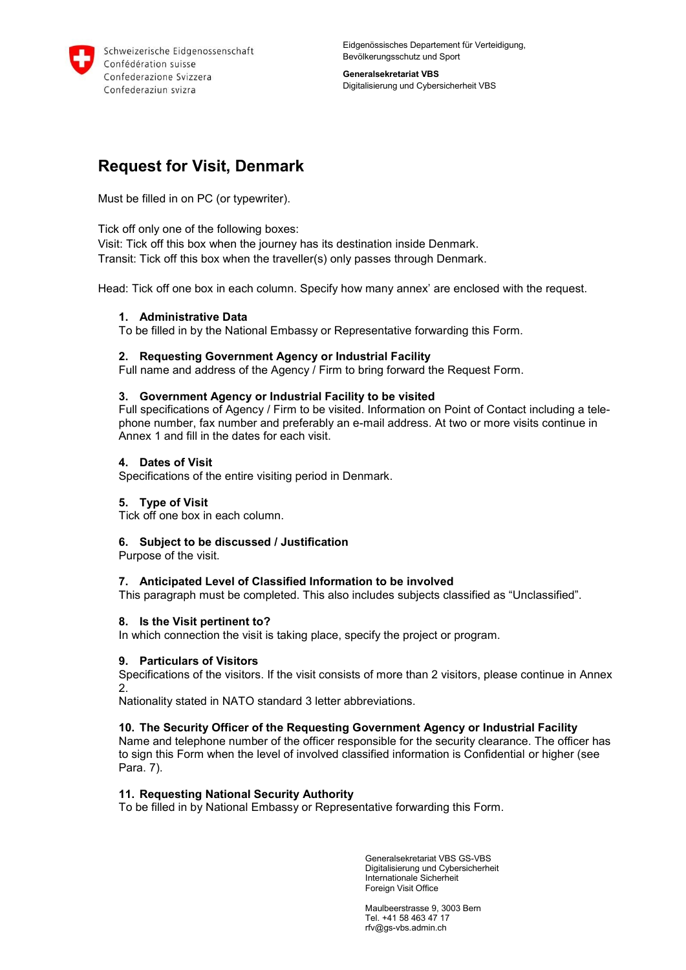

**Generalsekretariat VBS** Digitalisierung und Cybersicherheit VBS

# **Request for Visit, Denmark**

Must be filled in on PC (or typewriter).

Tick off only one of the following boxes:

Visit: Tick off this box when the journey has its destination inside Denmark. Transit: Tick off this box when the traveller(s) only passes through Denmark.

Head: Tick off one box in each column. Specify how many annex' are enclosed with the request.

# **1. Administrative Data**

To be filled in by the National Embassy or Representative forwarding this Form.

# **2. Requesting Government Agency or Industrial Facility**

Full name and address of the Agency / Firm to bring forward the Request Form.

# **3. Government Agency or Industrial Facility to be visited**

Full specifications of Agency / Firm to be visited. Information on Point of Contact including a telephone number, fax number and preferably an e-mail address. At two or more visits continue in Annex 1 and fill in the dates for each visit.

# **4. Dates of Visit**

Specifications of the entire visiting period in Denmark.

# **5. Type of Visit**

Tick off one box in each column.

# **6. Subject to be discussed / Justification**

Purpose of the visit.

#### **7. Anticipated Level of Classified Information to be involved**

This paragraph must be completed. This also includes subjects classified as "Unclassified".

#### **8. Is the Visit pertinent to?**

In which connection the visit is taking place, specify the project or program.

#### **9. Particulars of Visitors**

Specifications of the visitors. If the visit consists of more than 2 visitors, please continue in Annex 2.

Nationality stated in NATO standard 3 letter abbreviations.

#### **10. The Security Officer of the Requesting Government Agency or Industrial Facility**

Name and telephone number of the officer responsible for the security clearance. The officer has to sign this Form when the level of involved classified information is Confidential or higher (see Para. 7).

#### **11. Requesting National Security Authority**

To be filled in by National Embassy or Representative forwarding this Form.

Generalsekretariat VBS GS-VBS Digitalisierung und Cybersicherheit Internationale Sicherheit Foreign Visit Office

Maulbeerstrasse 9, 3003 Bern Tel. +41 58 463 47 17 rfv@gs-vbs.admin.ch